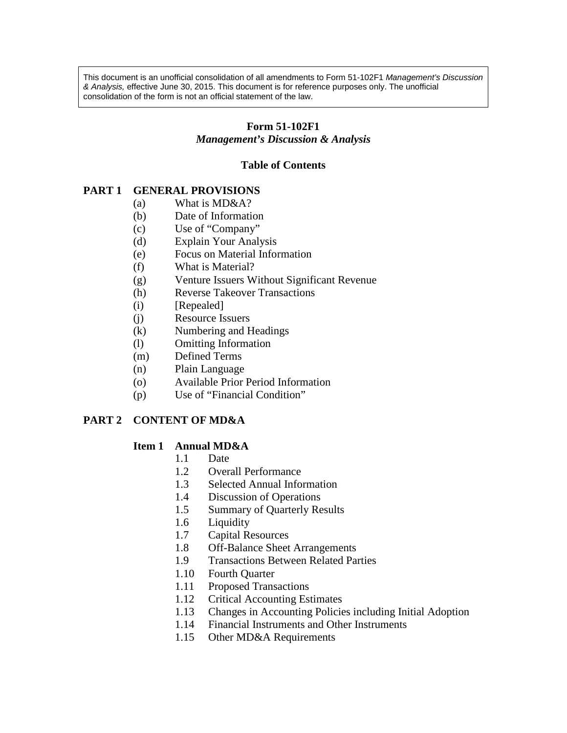This document is an unofficial consolidation of all amendments to Form 51-102F1 *Management's Discussion & Analysis,* effective June 30, 2015. This document is for reference purposes only. The unofficial consolidation of the form is not an official statement of the law.

# **Form 51-102F1**

#### *Management's Discussion & Analysis*

## **Table of Contents**

## **PART 1 GENERAL PROVISIONS**

- (a) What is MD&A?
- (b) Date of Information
- (c) Use of "Company"
- (d) Explain Your Analysis
- (e) Focus on Material Information
- (f) What is Material?
- (g) Venture Issuers Without Significant Revenue
- (h) Reverse Takeover Transactions
- (i) [Repealed]
- (j) Resource Issuers
- (k) Numbering and Headings
- (l) Omitting Information
- (m) Defined Terms
- (n) Plain Language
- (o) Available Prior Period Information
- (p) Use of "Financial Condition"

#### **PART 2 CONTENT OF MD&A**

#### **Item 1 Annual MD&A**

- 1.1 Date
- 1.2 Overall Performance
- 1.3 Selected Annual Information
- 1.4 Discussion of Operations
- 1.5 Summary of Quarterly Results
- 1.6 Liquidity
- 1.7 Capital Resources
- 1.8 Off-Balance Sheet Arrangements
- 1.9 Transactions Between Related Parties
- 1.10 Fourth Quarter
- 1.11 Proposed Transactions
- 1.12 Critical Accounting Estimates
- 1.13 Changes in Accounting Policies including Initial Adoption
- 1.14 Financial Instruments and Other Instruments
- 1.15 Other MD&A Requirements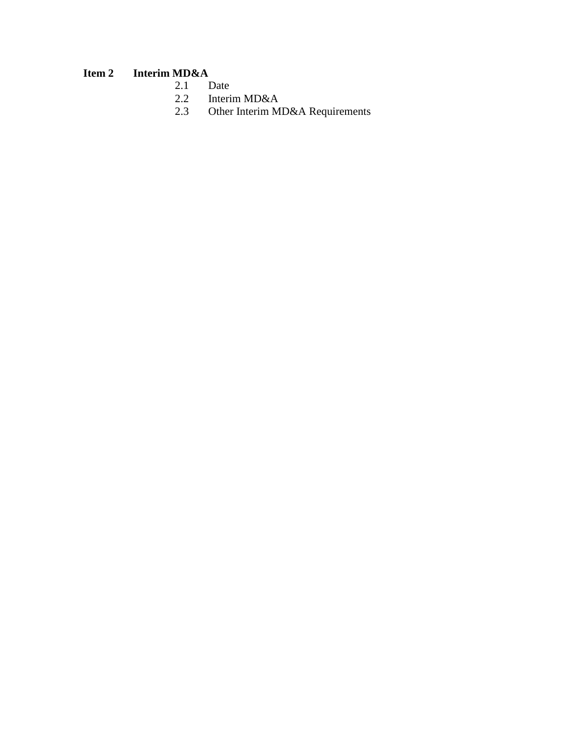# **Item 2** Interim MD&A<br>2.1 1

- 2.1 Date<br>2.2 Interi
	- 2.2 Interim MD&A<br>2.3 Other Interim M
	- Other Interim MD&A Requirements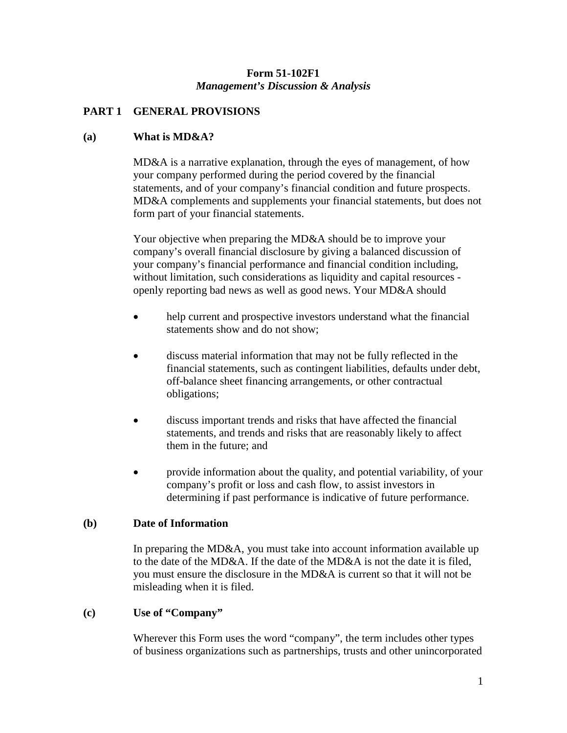## **Form 51-102F1** *Management's Discussion & Analysis*

# **PART 1 GENERAL PROVISIONS**

# **(a) What is MD&A?**

MD&A is a narrative explanation, through the eyes of management, of how your company performed during the period covered by the financial statements, and of your company's financial condition and future prospects. MD&A complements and supplements your financial statements, but does not form part of your financial statements.

Your objective when preparing the MD&A should be to improve your company's overall financial disclosure by giving a balanced discussion of your company's financial performance and financial condition including, without limitation, such considerations as liquidity and capital resources openly reporting bad news as well as good news. Your MD&A should

- help current and prospective investors understand what the financial statements show and do not show;
- discuss material information that may not be fully reflected in the financial statements, such as contingent liabilities, defaults under debt, off-balance sheet financing arrangements, or other contractual obligations;
- discuss important trends and risks that have affected the financial statements, and trends and risks that are reasonably likely to affect them in the future; and
- provide information about the quality, and potential variability, of your company's profit or loss and cash flow, to assist investors in determining if past performance is indicative of future performance.

#### **(b) Date of Information**

In preparing the MD&A, you must take into account information available up to the date of the MD&A. If the date of the MD&A is not the date it is filed, you must ensure the disclosure in the MD&A is current so that it will not be misleading when it is filed.

# **(c) Use of "Company"**

Wherever this Form uses the word "company", the term includes other types of business organizations such as partnerships, trusts and other unincorporated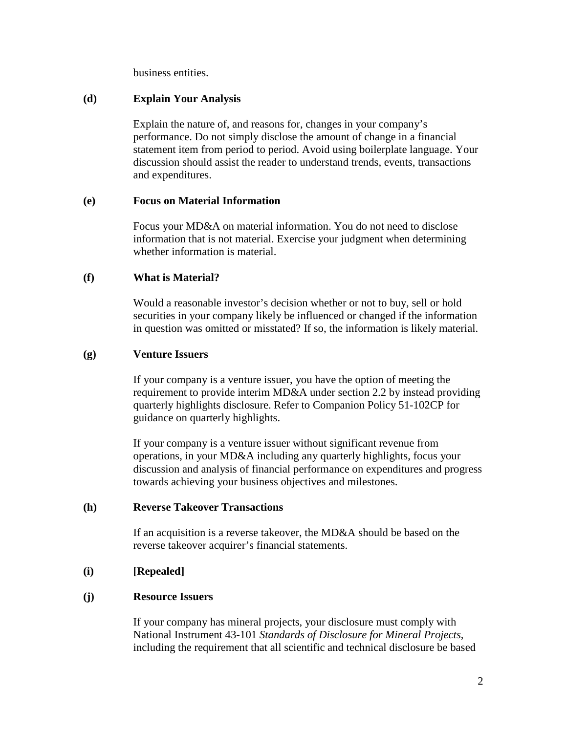business entities.

## **(d) Explain Your Analysis**

Explain the nature of, and reasons for, changes in your company's performance. Do not simply disclose the amount of change in a financial statement item from period to period. Avoid using boilerplate language. Your discussion should assist the reader to understand trends, events, transactions and expenditures.

## **(e) Focus on Material Information**

Focus your MD&A on material information. You do not need to disclose information that is not material. Exercise your judgment when determining whether information is material.

# **(f) What is Material?**

Would a reasonable investor's decision whether or not to buy, sell or hold securities in your company likely be influenced or changed if the information in question was omitted or misstated? If so, the information is likely material.

## **(g) Venture Issuers**

If your company is a venture issuer, you have the option of meeting the requirement to provide interim MD&A under section 2.2 by instead providing quarterly highlights disclosure. Refer to Companion Policy 51-102CP for guidance on quarterly highlights.

If your company is a venture issuer without significant revenue from operations, in your MD&A including any quarterly highlights, focus your discussion and analysis of financial performance on expenditures and progress towards achieving your business objectives and milestones.

#### **(h) Reverse Takeover Transactions**

If an acquisition is a reverse takeover, the MD&A should be based on the reverse takeover acquirer's financial statements.

# **(i) [Repealed]**

# **(j) Resource Issuers**

If your company has mineral projects, your disclosure must comply with National Instrument 43-101 *Standards of Disclosure for Mineral Projects*, including the requirement that all scientific and technical disclosure be based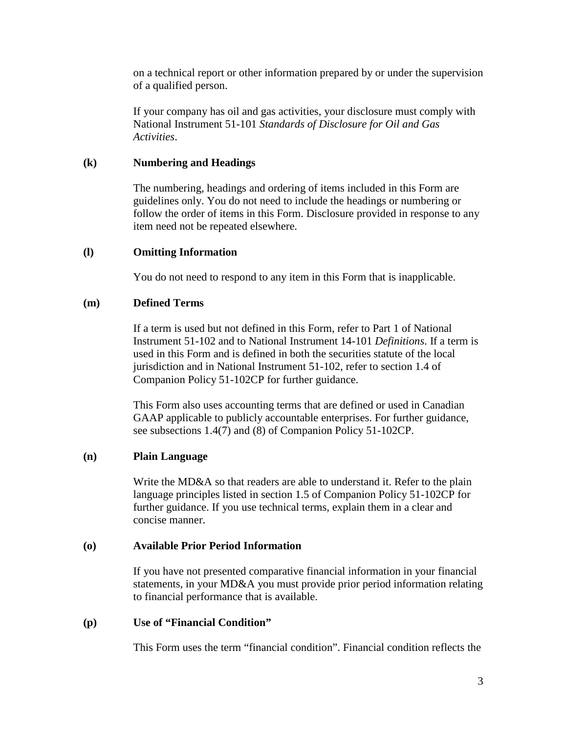on a technical report or other information prepared by or under the supervision of a qualified person.

If your company has oil and gas activities, your disclosure must comply with National Instrument 51-101 *Standards of Disclosure for Oil and Gas Activities*.

# **(k) Numbering and Headings**

The numbering, headings and ordering of items included in this Form are guidelines only. You do not need to include the headings or numbering or follow the order of items in this Form. Disclosure provided in response to any item need not be repeated elsewhere.

## **(l) Omitting Information**

You do not need to respond to any item in this Form that is inapplicable.

## **(m) Defined Terms**

If a term is used but not defined in this Form, refer to Part 1 of National Instrument 51-102 and to National Instrument 14-101 *Definitions*. If a term is used in this Form and is defined in both the securities statute of the local jurisdiction and in National Instrument 51-102, refer to section 1.4 of Companion Policy 51-102CP for further guidance.

This Form also uses accounting terms that are defined or used in Canadian GAAP applicable to publicly accountable enterprises. For further guidance, see subsections 1.4(7) and (8) of Companion Policy 51-102CP.

#### **(n) Plain Language**

Write the MD&A so that readers are able to understand it. Refer to the plain language principles listed in section 1.5 of Companion Policy 51-102CP for further guidance. If you use technical terms, explain them in a clear and concise manner.

#### **(o) Available Prior Period Information**

If you have not presented comparative financial information in your financial statements, in your MD&A you must provide prior period information relating to financial performance that is available.

#### **(p) Use of "Financial Condition"**

This Form uses the term "financial condition". Financial condition reflects the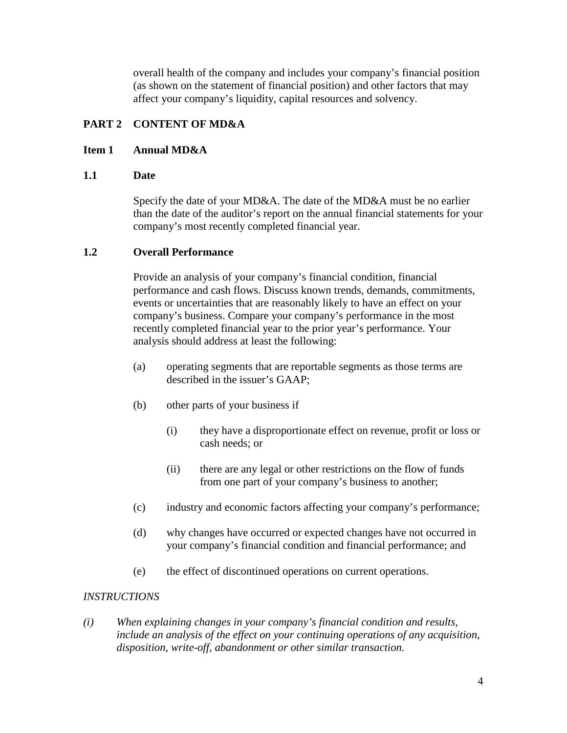overall health of the company and includes your company's financial position (as shown on the statement of financial position) and other factors that may affect your company's liquidity, capital resources and solvency.

# **PART 2 CONTENT OF MD&A**

# **Item 1 Annual MD&A**

# **1.1 Date**

Specify the date of your MD&A. The date of the MD&A must be no earlier than the date of the auditor's report on the annual financial statements for your company's most recently completed financial year.

# **1.2 Overall Performance**

Provide an analysis of your company's financial condition, financial performance and cash flows. Discuss known trends, demands, commitments, events or uncertainties that are reasonably likely to have an effect on your company's business. Compare your company's performance in the most recently completed financial year to the prior year's performance. Your analysis should address at least the following:

- (a) operating segments that are reportable segments as those terms are described in the issuer's GAAP;
- (b) other parts of your business if
	- (i) they have a disproportionate effect on revenue, profit or loss or cash needs; or
	- (ii) there are any legal or other restrictions on the flow of funds from one part of your company's business to another;
- (c) industry and economic factors affecting your company's performance;
- (d) why changes have occurred or expected changes have not occurred in your company's financial condition and financial performance; and
- (e) the effect of discontinued operations on current operations.

# *INSTRUCTIONS*

*(i) When explaining changes in your company's financial condition and results, include an analysis of the effect on your continuing operations of any acquisition, disposition, write-off, abandonment or other similar transaction.*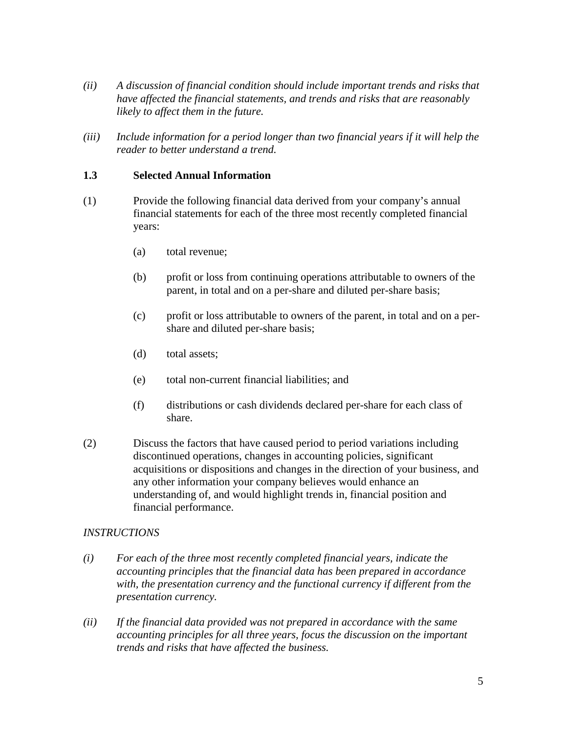- *(ii) A discussion of financial condition should include important trends and risks that have affected the financial statements, and trends and risks that are reasonably likely to affect them in the future.*
- *(iii) Include information for a period longer than two financial years if it will help the reader to better understand a trend.*

### **1.3 Selected Annual Information**

- (1) Provide the following financial data derived from your company's annual financial statements for each of the three most recently completed financial years:
	- (a) total revenue;
	- (b) profit or loss from continuing operations attributable to owners of the parent, in total and on a per-share and diluted per-share basis;
	- (c) profit or loss attributable to owners of the parent, in total and on a pershare and diluted per-share basis;
	- (d) total assets;
	- (e) total non-current financial liabilities; and
	- (f) distributions or cash dividends declared per-share for each class of share.
- (2) Discuss the factors that have caused period to period variations including discontinued operations, changes in accounting policies, significant acquisitions or dispositions and changes in the direction of your business, and any other information your company believes would enhance an understanding of, and would highlight trends in, financial position and financial performance.

- *(i) For each of the three most recently completed financial years, indicate the accounting principles that the financial data has been prepared in accordance with, the presentation currency and the functional currency if different from the presentation currency.*
- *(ii) If the financial data provided was not prepared in accordance with the same accounting principles for all three years, focus the discussion on the important trends and risks that have affected the business.*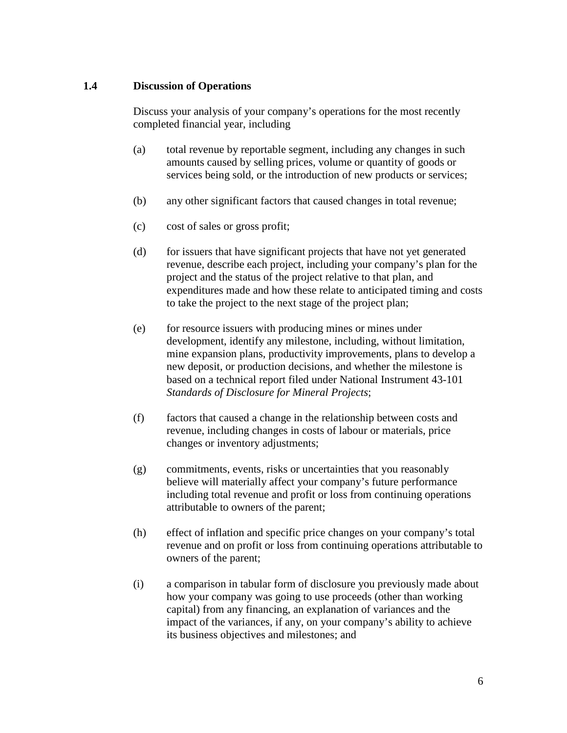## **1.4 Discussion of Operations**

Discuss your analysis of your company's operations for the most recently completed financial year, including

- (a) total revenue by reportable segment, including any changes in such amounts caused by selling prices, volume or quantity of goods or services being sold, or the introduction of new products or services;
- (b) any other significant factors that caused changes in total revenue;
- (c) cost of sales or gross profit;
- (d) for issuers that have significant projects that have not yet generated revenue, describe each project, including your company's plan for the project and the status of the project relative to that plan, and expenditures made and how these relate to anticipated timing and costs to take the project to the next stage of the project plan;
- (e) for resource issuers with producing mines or mines under development, identify any milestone, including, without limitation, mine expansion plans, productivity improvements, plans to develop a new deposit, or production decisions, and whether the milestone is based on a technical report filed under National Instrument 43-101 *Standards of Disclosure for Mineral Projects*;
- (f) factors that caused a change in the relationship between costs and revenue, including changes in costs of labour or materials, price changes or inventory adjustments;
- (g) commitments, events, risks or uncertainties that you reasonably believe will materially affect your company's future performance including total revenue and profit or loss from continuing operations attributable to owners of the parent;
- (h) effect of inflation and specific price changes on your company's total revenue and on profit or loss from continuing operations attributable to owners of the parent;
- (i) a comparison in tabular form of disclosure you previously made about how your company was going to use proceeds (other than working capital) from any financing, an explanation of variances and the impact of the variances, if any, on your company's ability to achieve its business objectives and milestones; and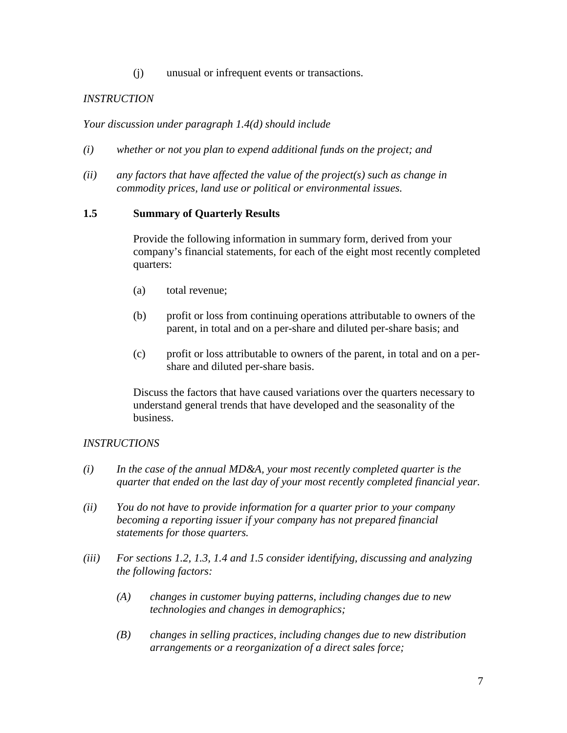(j) unusual or infrequent events or transactions.

### *INSTRUCTION*

*Your discussion under paragraph 1.4(d) should include*

- *(i) whether or not you plan to expend additional funds on the project; and*
- *(ii) any factors that have affected the value of the project(s) such as change in commodity prices, land use or political or environmental issues.*

#### **1.5 Summary of Quarterly Results**

Provide the following information in summary form, derived from your company's financial statements, for each of the eight most recently completed quarters:

- (a) total revenue;
- (b) profit or loss from continuing operations attributable to owners of the parent, in total and on a per-share and diluted per-share basis; and
- (c) profit or loss attributable to owners of the parent, in total and on a pershare and diluted per-share basis.

Discuss the factors that have caused variations over the quarters necessary to understand general trends that have developed and the seasonality of the business.

- *(i) In the case of the annual MD&A, your most recently completed quarter is the quarter that ended on the last day of your most recently completed financial year.*
- *(ii) You do not have to provide information for a quarter prior to your company becoming a reporting issuer if your company has not prepared financial statements for those quarters.*
- *(iii) For sections 1.2, 1.3, 1.4 and 1.5 consider identifying, discussing and analyzing the following factors:*
	- *(A) changes in customer buying patterns, including changes due to new technologies and changes in demographics;*
	- *(B) changes in selling practices, including changes due to new distribution arrangements or a reorganization of a direct sales force;*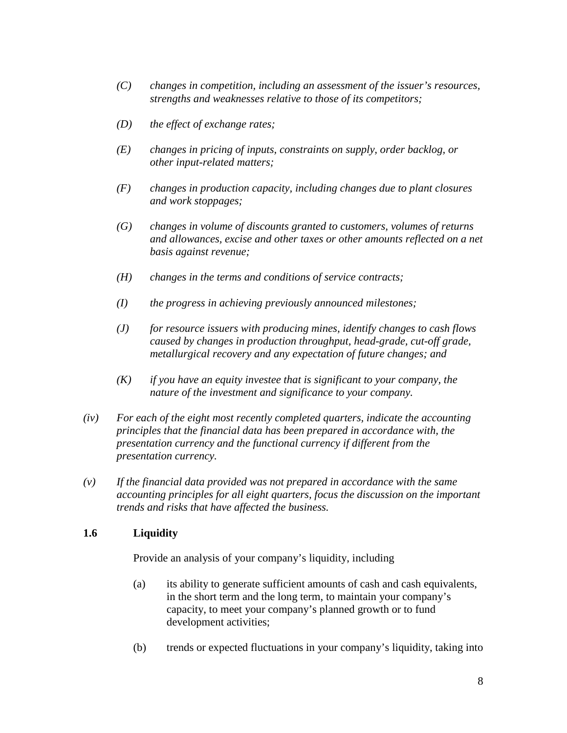- *(C) changes in competition, including an assessment of the issuer's resources, strengths and weaknesses relative to those of its competitors;*
- *(D) the effect of exchange rates;*
- *(E) changes in pricing of inputs, constraints on supply, order backlog, or other input-related matters;*
- *(F) changes in production capacity, including changes due to plant closures and work stoppages;*
- *(G) changes in volume of discounts granted to customers, volumes of returns and allowances, excise and other taxes or other amounts reflected on a net basis against revenue;*
- *(H) changes in the terms and conditions of service contracts;*
- *(I) the progress in achieving previously announced milestones;*
- *(J) for resource issuers with producing mines, identify changes to cash flows caused by changes in production throughput, head-grade, cut-off grade, metallurgical recovery and any expectation of future changes; and*
- *(K) if you have an equity investee that is significant to your company, the nature of the investment and significance to your company.*
- *(iv) For each of the eight most recently completed quarters, indicate the accounting principles that the financial data has been prepared in accordance with, the presentation currency and the functional currency if different from the presentation currency.*
- *(v) If the financial data provided was not prepared in accordance with the same accounting principles for all eight quarters, focus the discussion on the important trends and risks that have affected the business.*

# **1.6 Liquidity**

Provide an analysis of your company's liquidity, including

- (a) its ability to generate sufficient amounts of cash and cash equivalents, in the short term and the long term, to maintain your company's capacity, to meet your company's planned growth or to fund development activities;
- (b) trends or expected fluctuations in your company's liquidity, taking into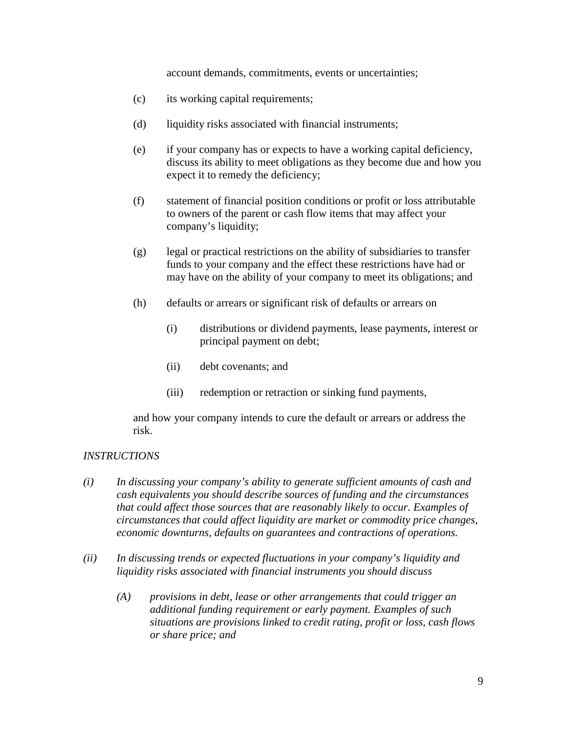account demands, commitments, events or uncertainties;

- (c) its working capital requirements;
- (d) liquidity risks associated with financial instruments;
- (e) if your company has or expects to have a working capital deficiency, discuss its ability to meet obligations as they become due and how you expect it to remedy the deficiency;
- (f) statement of financial position conditions or profit or loss attributable to owners of the parent or cash flow items that may affect your company's liquidity;
- (g) legal or practical restrictions on the ability of subsidiaries to transfer funds to your company and the effect these restrictions have had or may have on the ability of your company to meet its obligations; and
- (h) defaults or arrears or significant risk of defaults or arrears on
	- (i) distributions or dividend payments, lease payments, interest or principal payment on debt;
	- (ii) debt covenants; and
	- (iii) redemption or retraction or sinking fund payments,

and how your company intends to cure the default or arrears or address the risk.

- *(i) In discussing your company's ability to generate sufficient amounts of cash and cash equivalents you should describe sources of funding and the circumstances that could affect those sources that are reasonably likely to occur. Examples of circumstances that could affect liquidity are market or commodity price changes, economic downturns, defaults on guarantees and contractions of operations.*
- *(ii) In discussing trends or expected fluctuations in your company's liquidity and liquidity risks associated with financial instruments you should discuss*
	- *(A) provisions in debt, lease or other arrangements that could trigger an additional funding requirement or early payment. Examples of such situations are provisions linked to credit rating, profit or loss, cash flows or share price; and*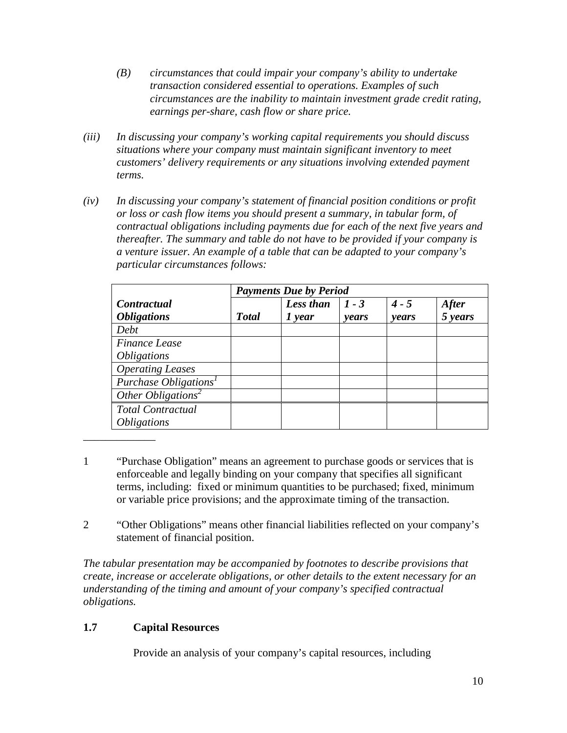- *(B) circumstances that could impair your company's ability to undertake transaction considered essential to operations. Examples of such circumstances are the inability to maintain investment grade credit rating, earnings per-share, cash flow or share price.*
- *(iii) In discussing your company's working capital requirements you should discuss situations where your company must maintain significant inventory to meet customers' delivery requirements or any situations involving extended payment terms.*
- *(iv) In discussing your company's statement of financial position conditions or profit or loss or cash flow items you should present a summary, in tabular form, of contractual obligations including payments due for each of the next five years and thereafter. The summary and table do not have to be provided if your company is a venture issuer. An example of a table that can be adapted to your company's particular circumstances follows:*

|                                   | <b>Payments Due by Period</b> |           |              |              |              |
|-----------------------------------|-------------------------------|-----------|--------------|--------------|--------------|
| Contractual                       |                               | Less than | $1 - 3$      | $4 - 5$      | <b>After</b> |
| <b>Obligations</b>                | <b>Total</b>                  | 1 year    | <b>vears</b> | <b>vears</b> | 5 years      |
| Debt                              |                               |           |              |              |              |
| <b>Finance Lease</b>              |                               |           |              |              |              |
| <i><b>Obligations</b></i>         |                               |           |              |              |              |
| <b>Operating Leases</b>           |                               |           |              |              |              |
| Purchase Obligations <sup>1</sup> |                               |           |              |              |              |
| Other Obligations <sup>2</sup>    |                               |           |              |              |              |
| <b>Total Contractual</b>          |                               |           |              |              |              |
| <i>Obligations</i>                |                               |           |              |              |              |

- 1 "Purchase Obligation" means an agreement to purchase goods or services that is enforceable and legally binding on your company that specifies all significant terms, including: fixed or minimum quantities to be purchased; fixed, minimum or variable price provisions; and the approximate timing of the transaction.
- 2 "Other Obligations" means other financial liabilities reflected on your company's statement of financial position.

*The tabular presentation may be accompanied by footnotes to describe provisions that create, increase or accelerate obligations, or other details to the extent necessary for an understanding of the timing and amount of your company's specified contractual obligations.*

# **1.7 Capital Resources**

\_\_\_\_\_\_\_\_\_\_\_\_\_

Provide an analysis of your company's capital resources, including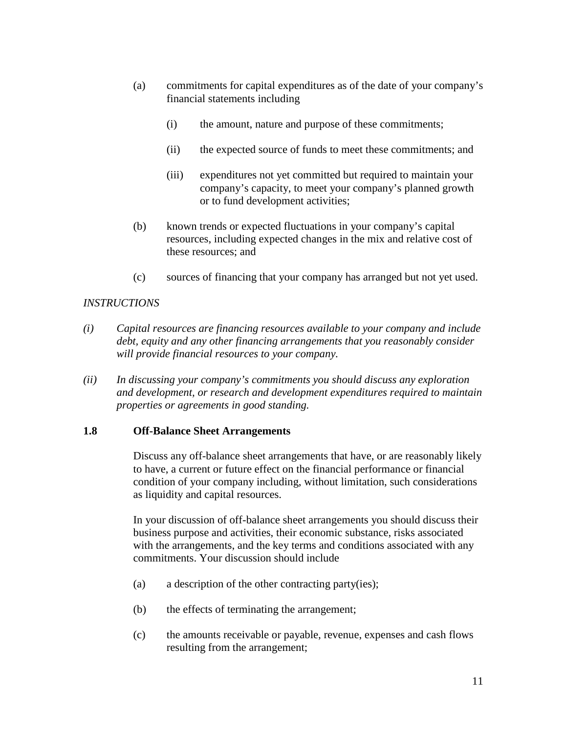- (a) commitments for capital expenditures as of the date of your company's financial statements including
	- (i) the amount, nature and purpose of these commitments;
	- (ii) the expected source of funds to meet these commitments; and
	- (iii) expenditures not yet committed but required to maintain your company's capacity, to meet your company's planned growth or to fund development activities;
- (b) known trends or expected fluctuations in your company's capital resources, including expected changes in the mix and relative cost of these resources; and
- (c) sources of financing that your company has arranged but not yet used.

#### *INSTRUCTIONS*

- *(i) Capital resources are financing resources available to your company and include debt, equity and any other financing arrangements that you reasonably consider will provide financial resources to your company.*
- *(ii) In discussing your company's commitments you should discuss any exploration and development, or research and development expenditures required to maintain properties or agreements in good standing.*

#### **1.8 Off-Balance Sheet Arrangements**

Discuss any off-balance sheet arrangements that have, or are reasonably likely to have, a current or future effect on the financial performance or financial condition of your company including, without limitation, such considerations as liquidity and capital resources.

In your discussion of off-balance sheet arrangements you should discuss their business purpose and activities, their economic substance, risks associated with the arrangements, and the key terms and conditions associated with any commitments. Your discussion should include

- (a) a description of the other contracting party(ies);
- (b) the effects of terminating the arrangement;
- (c) the amounts receivable or payable, revenue, expenses and cash flows resulting from the arrangement;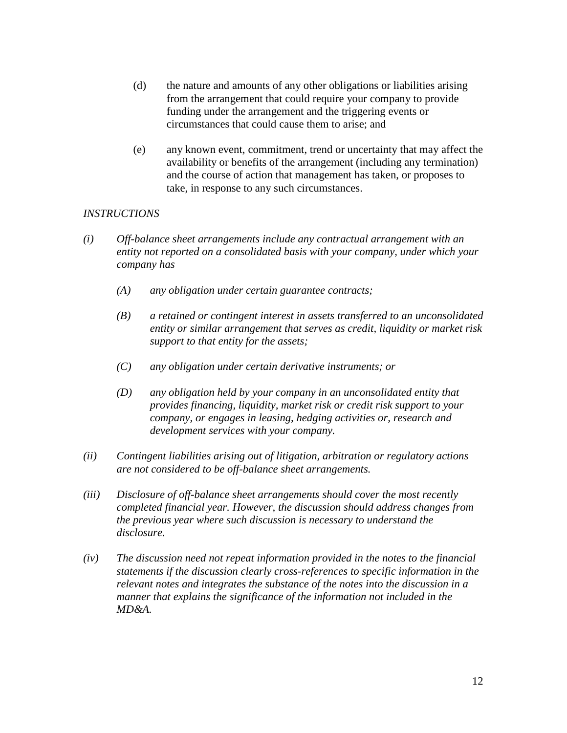- (d) the nature and amounts of any other obligations or liabilities arising from the arrangement that could require your company to provide funding under the arrangement and the triggering events or circumstances that could cause them to arise; and
- (e) any known event, commitment, trend or uncertainty that may affect the availability or benefits of the arrangement (including any termination) and the course of action that management has taken, or proposes to take, in response to any such circumstances.

- *(i) Off-balance sheet arrangements include any contractual arrangement with an entity not reported on a consolidated basis with your company, under which your company has*
	- *(A) any obligation under certain guarantee contracts;*
	- *(B) a retained or contingent interest in assets transferred to an unconsolidated entity or similar arrangement that serves as credit, liquidity or market risk support to that entity for the assets;*
	- *(C) any obligation under certain derivative instruments; or*
	- *(D) any obligation held by your company in an unconsolidated entity that provides financing, liquidity, market risk or credit risk support to your company, or engages in leasing, hedging activities or, research and development services with your company.*
- *(ii) Contingent liabilities arising out of litigation, arbitration or regulatory actions are not considered to be off-balance sheet arrangements.*
- *(iii) Disclosure of off-balance sheet arrangements should cover the most recently completed financial year. However, the discussion should address changes from the previous year where such discussion is necessary to understand the disclosure.*
- *(iv) The discussion need not repeat information provided in the notes to the financial statements if the discussion clearly cross-references to specific information in the relevant notes and integrates the substance of the notes into the discussion in a manner that explains the significance of the information not included in the MD&A.*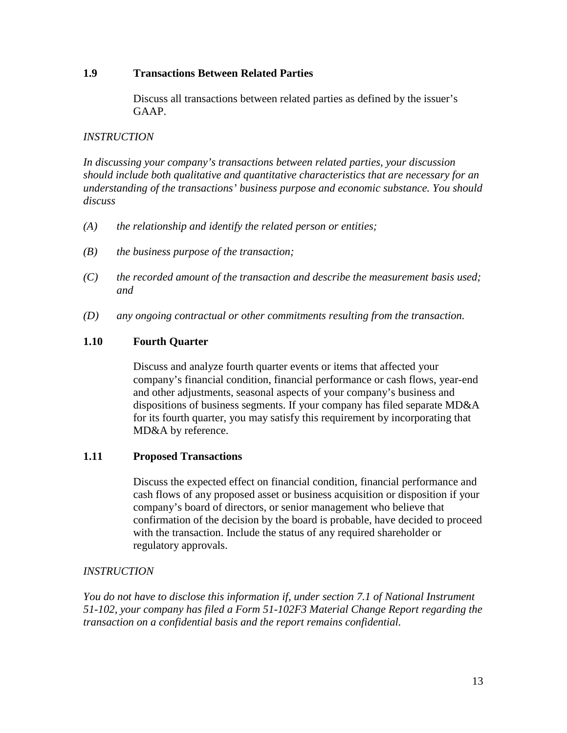## **1.9 Transactions Between Related Parties**

Discuss all transactions between related parties as defined by the issuer's GAAP.

## *INSTRUCTION*

*In discussing your company's transactions between related parties, your discussion should include both qualitative and quantitative characteristics that are necessary for an understanding of the transactions' business purpose and economic substance. You should discuss*

- *(A) the relationship and identify the related person or entities;*
- *(B) the business purpose of the transaction;*
- *(C) the recorded amount of the transaction and describe the measurement basis used; and*
- *(D) any ongoing contractual or other commitments resulting from the transaction.*

## **1.10 Fourth Quarter**

Discuss and analyze fourth quarter events or items that affected your company's financial condition, financial performance or cash flows, year-end and other adjustments, seasonal aspects of your company's business and dispositions of business segments. If your company has filed separate MD&A for its fourth quarter, you may satisfy this requirement by incorporating that MD&A by reference.

#### **1.11 Proposed Transactions**

Discuss the expected effect on financial condition, financial performance and cash flows of any proposed asset or business acquisition or disposition if your company's board of directors, or senior management who believe that confirmation of the decision by the board is probable, have decided to proceed with the transaction. Include the status of any required shareholder or regulatory approvals.

#### *INSTRUCTION*

*You do not have to disclose this information if, under section 7.1 of National Instrument 51-102, your company has filed a Form 51-102F3 Material Change Report regarding the transaction on a confidential basis and the report remains confidential.*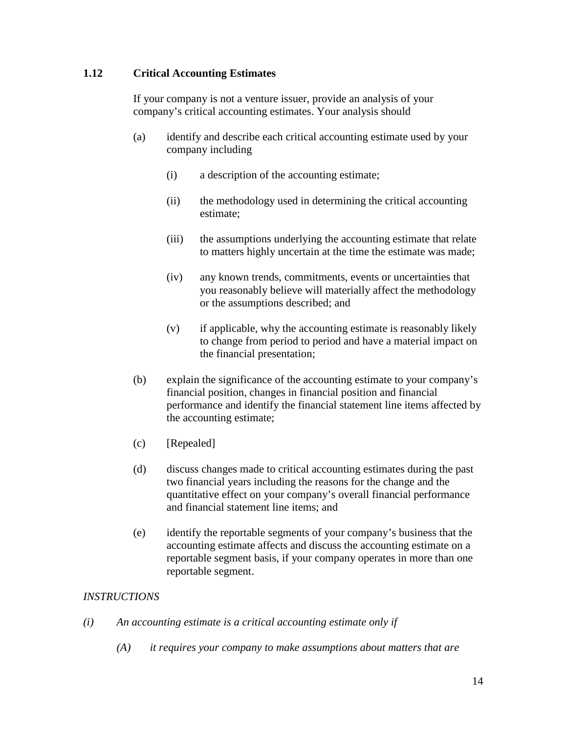# **1.12 Critical Accounting Estimates**

If your company is not a venture issuer, provide an analysis of your company's critical accounting estimates. Your analysis should

- (a) identify and describe each critical accounting estimate used by your company including
	- (i) a description of the accounting estimate;
	- (ii) the methodology used in determining the critical accounting estimate;
	- (iii) the assumptions underlying the accounting estimate that relate to matters highly uncertain at the time the estimate was made;
	- (iv) any known trends, commitments, events or uncertainties that you reasonably believe will materially affect the methodology or the assumptions described; and
	- (v) if applicable, why the accounting estimate is reasonably likely to change from period to period and have a material impact on the financial presentation;
- (b) explain the significance of the accounting estimate to your company's financial position, changes in financial position and financial performance and identify the financial statement line items affected by the accounting estimate;
- (c) [Repealed]
- (d) discuss changes made to critical accounting estimates during the past two financial years including the reasons for the change and the quantitative effect on your company's overall financial performance and financial statement line items; and
- (e) identify the reportable segments of your company's business that the accounting estimate affects and discuss the accounting estimate on a reportable segment basis, if your company operates in more than one reportable segment.

- *(i) An accounting estimate is a critical accounting estimate only if*
	- *(A) it requires your company to make assumptions about matters that are*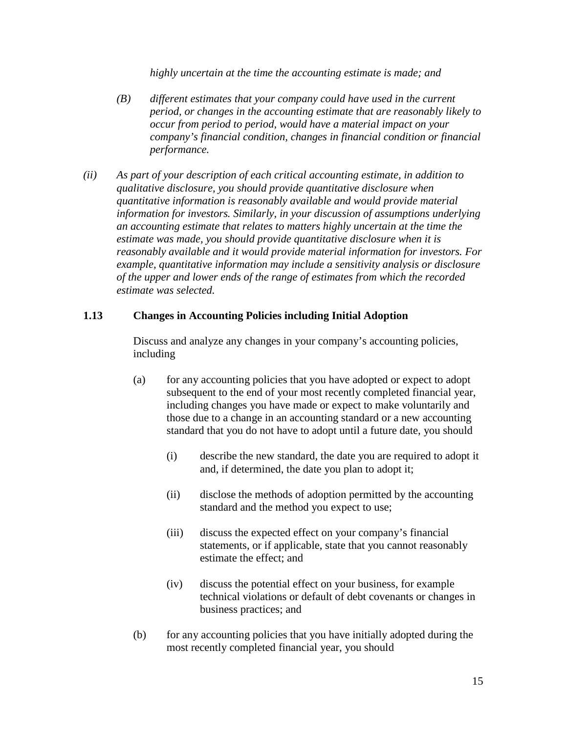*highly uncertain at the time the accounting estimate is made; and*

- *(B) different estimates that your company could have used in the current period, or changes in the accounting estimate that are reasonably likely to occur from period to period, would have a material impact on your company's financial condition, changes in financial condition or financial performance.*
- *(ii) As part of your description of each critical accounting estimate, in addition to qualitative disclosure, you should provide quantitative disclosure when quantitative information is reasonably available and would provide material information for investors. Similarly, in your discussion of assumptions underlying an accounting estimate that relates to matters highly uncertain at the time the estimate was made, you should provide quantitative disclosure when it is reasonably available and it would provide material information for investors. For example, quantitative information may include a sensitivity analysis or disclosure of the upper and lower ends of the range of estimates from which the recorded estimate was selected.*

## **1.13 Changes in Accounting Policies including Initial Adoption**

Discuss and analyze any changes in your company's accounting policies, including

- (a) for any accounting policies that you have adopted or expect to adopt subsequent to the end of your most recently completed financial year, including changes you have made or expect to make voluntarily and those due to a change in an accounting standard or a new accounting standard that you do not have to adopt until a future date, you should
	- (i) describe the new standard, the date you are required to adopt it and, if determined, the date you plan to adopt it;
	- (ii) disclose the methods of adoption permitted by the accounting standard and the method you expect to use;
	- (iii) discuss the expected effect on your company's financial statements, or if applicable, state that you cannot reasonably estimate the effect; and
	- (iv) discuss the potential effect on your business, for example technical violations or default of debt covenants or changes in business practices; and
- (b) for any accounting policies that you have initially adopted during the most recently completed financial year, you should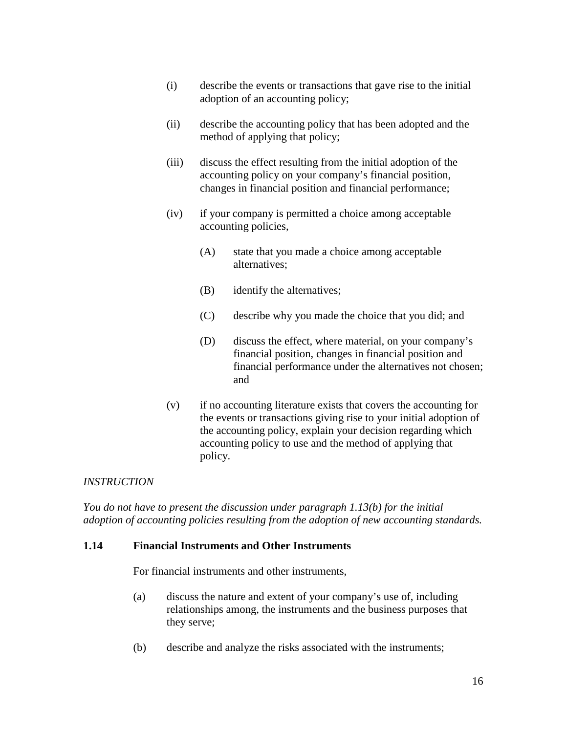- (i) describe the events or transactions that gave rise to the initial adoption of an accounting policy;
- (ii) describe the accounting policy that has been adopted and the method of applying that policy;
- (iii) discuss the effect resulting from the initial adoption of the accounting policy on your company's financial position, changes in financial position and financial performance;
- (iv) if your company is permitted a choice among acceptable accounting policies,
	- (A) state that you made a choice among acceptable alternatives;
	- (B) identify the alternatives;
	- (C) describe why you made the choice that you did; and
	- (D) discuss the effect, where material, on your company's financial position, changes in financial position and financial performance under the alternatives not chosen; and
- (v) if no accounting literature exists that covers the accounting for the events or transactions giving rise to your initial adoption of the accounting policy, explain your decision regarding which accounting policy to use and the method of applying that policy.

#### *INSTRUCTION*

*You do not have to present the discussion under paragraph 1.13(b) for the initial adoption of accounting policies resulting from the adoption of new accounting standards.*

#### **1.14 Financial Instruments and Other Instruments**

For financial instruments and other instruments,

- (a) discuss the nature and extent of your company's use of, including relationships among, the instruments and the business purposes that they serve;
- (b) describe and analyze the risks associated with the instruments;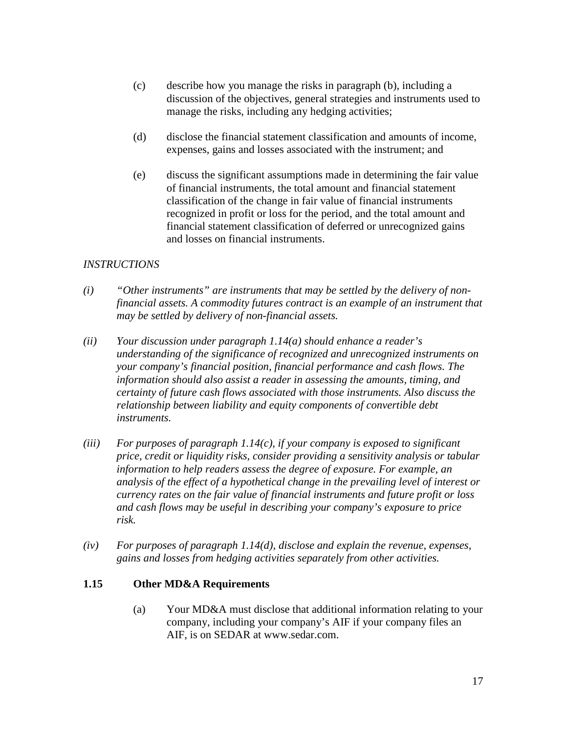- (c) describe how you manage the risks in paragraph (b), including a discussion of the objectives, general strategies and instruments used to manage the risks, including any hedging activities;
- (d) disclose the financial statement classification and amounts of income, expenses, gains and losses associated with the instrument; and
- (e) discuss the significant assumptions made in determining the fair value of financial instruments, the total amount and financial statement classification of the change in fair value of financial instruments recognized in profit or loss for the period, and the total amount and financial statement classification of deferred or unrecognized gains and losses on financial instruments.

## *INSTRUCTIONS*

- *(i) "Other instruments" are instruments that may be settled by the delivery of nonfinancial assets. A commodity futures contract is an example of an instrument that may be settled by delivery of non-financial assets.*
- *(ii) Your discussion under paragraph 1.14(a) should enhance a reader's understanding of the significance of recognized and unrecognized instruments on your company's financial position, financial performance and cash flows. The information should also assist a reader in assessing the amounts, timing, and certainty of future cash flows associated with those instruments. Also discuss the relationship between liability and equity components of convertible debt instruments.*
- *(iii) For purposes of paragraph 1.14(c), if your company is exposed to significant price, credit or liquidity risks, consider providing a sensitivity analysis or tabular information to help readers assess the degree of exposure. For example, an analysis of the effect of a hypothetical change in the prevailing level of interest or currency rates on the fair value of financial instruments and future profit or loss and cash flows may be useful in describing your company's exposure to price risk.*
- *(iv) For purposes of paragraph 1.14(d), disclose and explain the revenue, expenses, gains and losses from hedging activities separately from other activities.*

#### **1.15 Other MD&A Requirements**

(a) Your MD&A must disclose that additional information relating to your company, including your company's AIF if your company files an AIF, is on SEDAR at www.sedar.com.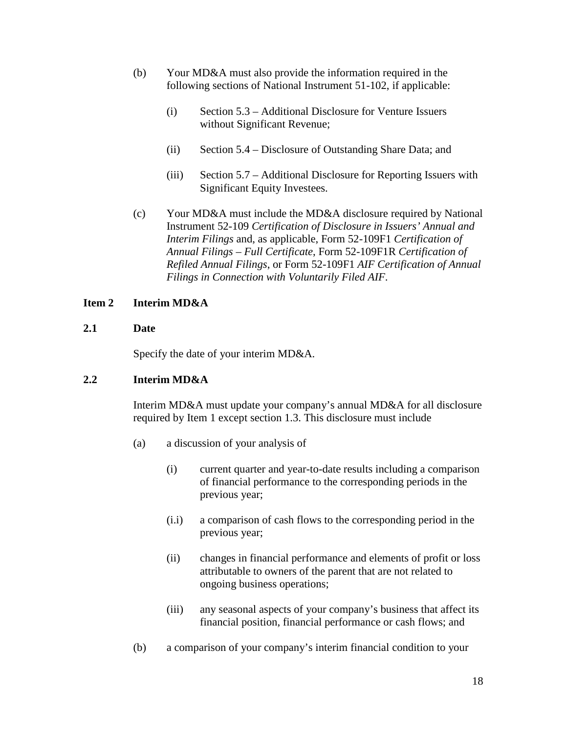- (b) Your MD&A must also provide the information required in the following sections of National Instrument 51-102, if applicable:
	- (i) Section 5.3 Additional Disclosure for Venture Issuers without Significant Revenue;
	- (ii) Section 5.4 Disclosure of Outstanding Share Data; and
	- (iii) Section 5.7 Additional Disclosure for Reporting Issuers with Significant Equity Investees.
- (c) Your MD&A must include the MD&A disclosure required by National Instrument 52-109 *Certification of Disclosure in Issuers' Annual and Interim Filings* and, as applicable, Form 52-109F1 *Certification of Annual Filings* – *Full Certificate*, Form 52-109F1R *Certification of Refiled Annual Filings*, or Form 52-109F1 *AIF Certification of Annual Filings in Connection with Voluntarily Filed AIF*.

# **Item 2 Interim MD&A**

#### **2.1 Date**

Specify the date of your interim MD&A.

#### **2.2 Interim MD&A**

Interim MD&A must update your company's annual MD&A for all disclosure required by Item 1 except section 1.3. This disclosure must include

- (a) a discussion of your analysis of
	- (i) current quarter and year-to-date results including a comparison of financial performance to the corresponding periods in the previous year;
	- (i.i) a comparison of cash flows to the corresponding period in the previous year;
	- (ii) changes in financial performance and elements of profit or loss attributable to owners of the parent that are not related to ongoing business operations;
	- (iii) any seasonal aspects of your company's business that affect its financial position, financial performance or cash flows; and
- (b) a comparison of your company's interim financial condition to your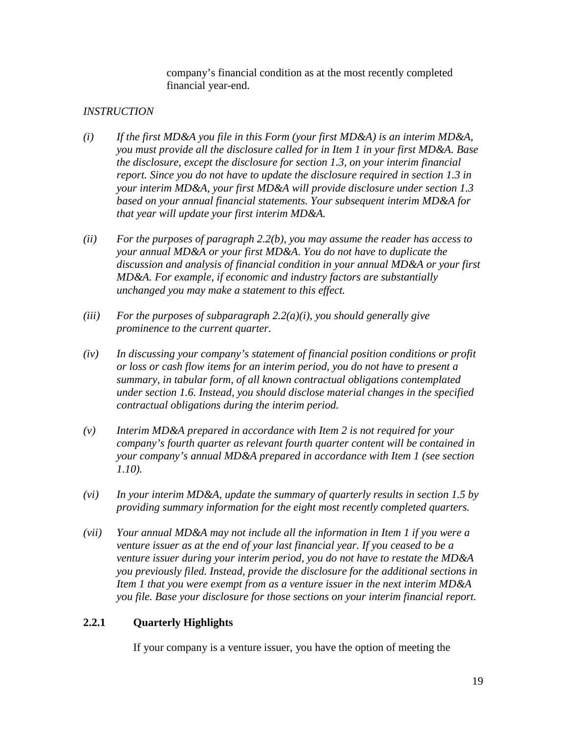company's financial condition as at the most recently completed financial year-end.

# *INSTRUCTION*

- *(i) If the first MD&A you file in this Form (your first MD&A) is an interim MD&A, you must provide all the disclosure called for in Item 1 in your first MD&A. Base the disclosure, except the disclosure for section 1.3, on your interim financial report. Since you do not have to update the disclosure required in section 1.3 in your interim MD&A, your first MD&A will provide disclosure under section 1.3 based on your annual financial statements. Your subsequent interim MD&A for that year will update your first interim MD&A.*
- *(ii) For the purposes of paragraph 2.2(b), you may assume the reader has access to your annual MD&A or your first MD&A. You do not have to duplicate the discussion and analysis of financial condition in your annual MD&A or your first MD&A. For example, if economic and industry factors are substantially unchanged you may make a statement to this effect.*
- *(iii) For the purposes of subparagraph 2.2(a)(i), you should generally give prominence to the current quarter.*
- *(iv) In discussing your company's statement of financial position conditions or profit or loss or cash flow items for an interim period, you do not have to present a summary, in tabular form, of all known contractual obligations contemplated under section 1.6. Instead, you should disclose material changes in the specified contractual obligations during the interim period.*
- *(v) Interim MD&A prepared in accordance with Item 2 is not required for your company's fourth quarter as relevant fourth quarter content will be contained in your company's annual MD&A prepared in accordance with Item 1 (see section 1.10).*
- *(vi) In your interim MD&A, update the summary of quarterly results in section 1.5 by providing summary information for the eight most recently completed quarters.*
- *(vii) Your annual MD&A may not include all the information in Item 1 if you were a venture issuer as at the end of your last financial year. If you ceased to be a venture issuer during your interim period, you do not have to restate the MD&A you previously filed. Instead, provide the disclosure for the additional sections in Item 1 that you were exempt from as a venture issuer in the next interim MD&A you file. Base your disclosure for those sections on your interim financial report.*

# **2.2.1 Quarterly Highlights**

If your company is a venture issuer, you have the option of meeting the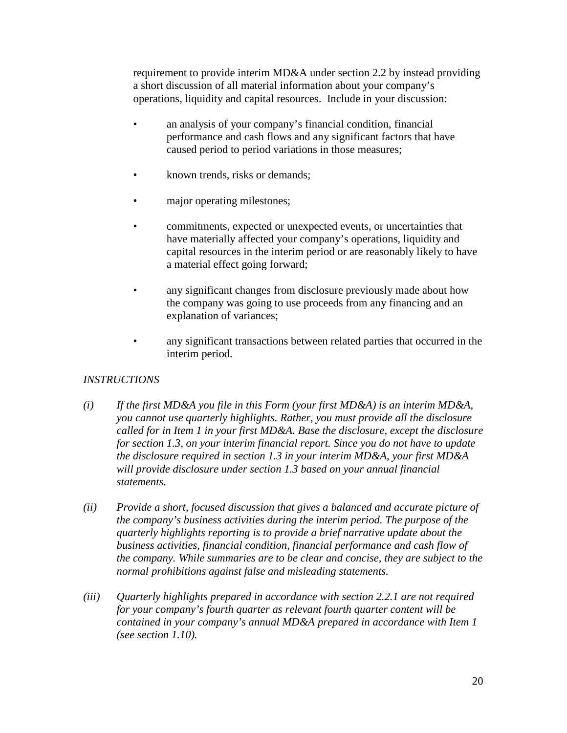requirement to provide interim MD&A under section 2.2 by instead providing a short discussion of all material information about your company's operations, liquidity and capital resources. Include in your discussion:

- an analysis of your company's financial condition, financial performance and cash flows and any significant factors that have caused period to period variations in those measures;
- known trends, risks or demands;
- major operating milestones;
- commitments, expected or unexpected events, or uncertainties that have materially affected your company's operations, liquidity and capital resources in the interim period or are reasonably likely to have a material effect going forward;
- any significant changes from disclosure previously made about how the company was going to use proceeds from any financing and an explanation of variances;
- any significant transactions between related parties that occurred in the interim period.

- *(i) If the first MD&A you file in this Form (your first MD&A) is an interim MD&A, you cannot use quarterly highlights. Rather, you must provide all the disclosure called for in Item 1 in your first MD&A. Base the disclosure, except the disclosure for section 1.3, on your interim financial report. Since you do not have to update the disclosure required in section 1.3 in your interim MD&A, your first MD&A will provide disclosure under section 1.3 based on your annual financial statements.*
- *(ii) Provide a short, focused discussion that gives a balanced and accurate picture of the company's business activities during the interim period. The purpose of the quarterly highlights reporting is to provide a brief narrative update about the business activities, financial condition, financial performance and cash flow of the company. While summaries are to be clear and concise, they are subject to the normal prohibitions against false and misleading statements.*
- *(iii) Quarterly highlights prepared in accordance with section 2.2.1 are not required for your company's fourth quarter as relevant fourth quarter content will be contained in your company's annual MD&A prepared in accordance with Item 1 (see section 1.10).*